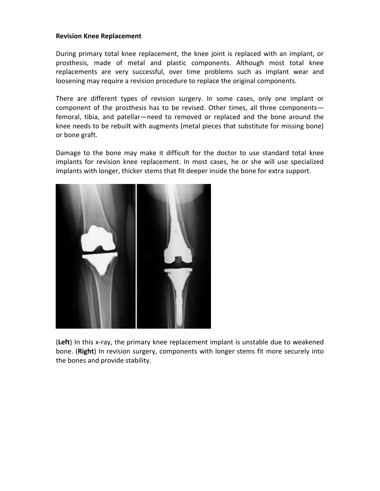#### **Revision Knee Replacement**

During primary total knee replacement, the knee joint is replaced with an implant, or prosthesis, made of metal and plastic components. Although most total knee replacements are very successful, over time problems such as implant wear and loosening may require a revision procedure to replace the original components.

There are different types of revision surgery. In some cases, only one implant or component of the prosthesis has to be revised. Other times, all three components femoral, tibia, and patellar—need to removed or replaced and the bone around the knee needs to be rebuilt with augments (metal pieces that substitute for missing bone) or bone graft.

Damage to the bone may make it difficult for the doctor to use standard total knee implants for revision knee replacement. In most cases, he or she will use specialized implants with longer, thicker stems that fit deeper inside the bone for extra support.



(**Left**) In this x-ray, the primary knee replacement implant is unstable due to weakened bone. (**Right**) In revision surgery, components with longer stems fit more securely into the bones and provide stability.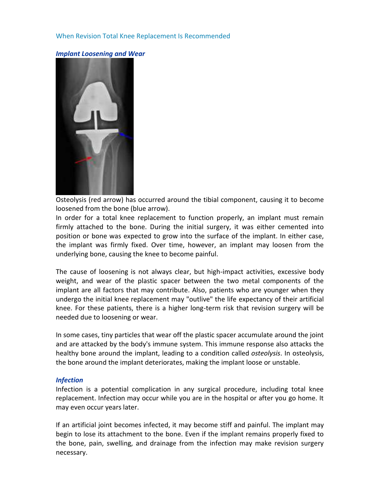## When Revision Total Knee Replacement Is Recommended



*Implant Loosening and Wear*

Osteolysis (red arrow) has occurred around the tibial component, causing it to become loosened from the bone (blue arrow).

In order for a total knee replacement to function properly, an implant must remain firmly attached to the bone. During the initial surgery, it was either cemented into position or bone was expected to grow into the surface of the implant. In either case, the implant was firmly fixed. Over time, however, an implant may loosen from the underlying bone, causing the knee to become painful.

The cause of loosening is not always clear, but high-impact activities, excessive body weight, and wear of the plastic spacer between the two metal components of the implant are all factors that may contribute. Also, patients who are younger when they undergo the initial knee replacement may "outlive" the life expectancy of their artificial knee. For these patients, there is a higher long-term risk that revision surgery will be needed due to loosening or wear.

In some cases, tiny particles that wear off the plastic spacer accumulate around the joint and are attacked by the body's immune system. This immune response also attacks the healthy bone around the implant, leading to a condition called *osteolysis*. In osteolysis, the bone around the implant deteriorates, making the implant loose or unstable.

#### *Infection*

Infection is a potential complication in any surgical procedure, including total knee replacement. Infection may occur while you are in the hospital or after you go home. It may even occur years later.

If an artificial joint becomes infected, it may become stiff and painful. The implant may begin to lose its attachment to the bone. Even if the implant remains properly fixed to the bone, pain, swelling, and drainage from the infection may make revision surgery necessary.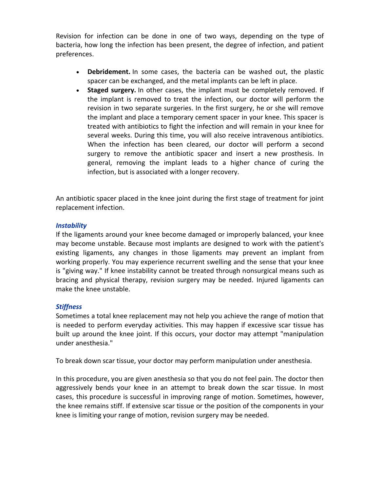Revision for infection can be done in one of two ways, depending on the type of bacteria, how long the infection has been present, the degree of infection, and patient preferences.

- **Debridement.** In some cases, the bacteria can be washed out, the plastic spacer can be exchanged, and the metal implants can be left in place.
- **Staged surgery.** In other cases, the implant must be completely removed. If the implant is removed to treat the infection, our doctor will perform the revision in two separate surgeries. In the first surgery, he or she will remove the implant and place a temporary cement spacer in your knee. This spacer is treated with antibiotics to fight the infection and will remain in your knee for several weeks. During this time, you will also receive intravenous antibiotics. When the infection has been cleared, our doctor will perform a second surgery to remove the antibiotic spacer and insert a new prosthesis. In general, removing the implant leads to a higher chance of curing the infection, but is associated with a longer recovery.

An antibiotic spacer placed in the knee joint during the first stage of treatment for joint replacement infection.

## *Instability*

If the ligaments around your knee become damaged or improperly balanced, your knee may become unstable. Because most implants are designed to work with the patient's existing ligaments, any changes in those ligaments may prevent an implant from working properly. You may experience recurrent swelling and the sense that your knee is "giving way." If knee instability cannot be treated through nonsurgical means such as bracing and physical therapy, revision surgery may be needed. Injured ligaments can make the knee unstable.

# *Stiffness*

Sometimes a total knee replacement may not help you achieve the range of motion that is needed to perform everyday activities. This may happen if excessive scar tissue has built up around the knee joint. If this occurs, your doctor may attempt "manipulation under anesthesia."

To break down scar tissue, your doctor may perform manipulation under anesthesia.

In this procedure, you are given anesthesia so that you do not feel pain. The doctor then aggressively bends your knee in an attempt to break down the scar tissue. In most cases, this procedure is successful in improving range of motion. Sometimes, however, the knee remains stiff. If extensive scar tissue or the position of the components in your knee is limiting your range of motion, revision surgery may be needed.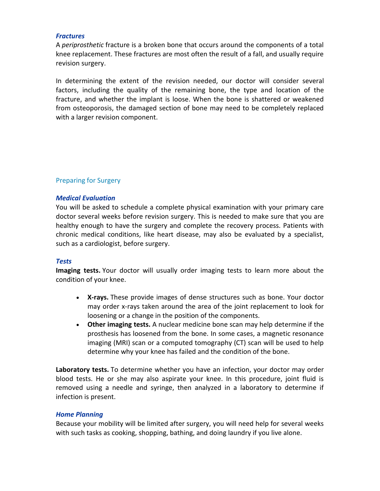#### *Fractures*

A *periprosthetic* fracture is a broken bone that occurs around the components of a total knee replacement. These fractures are most often the result of a fall, and usually require revision surgery.

In determining the extent of the revision needed, our doctor will consider several factors, including the quality of the remaining bone, the type and location of the fracture, and whether the implant is loose. When the bone is shattered or weakened from osteoporosis, the damaged section of bone may need to be completely replaced with a larger revision component.

# Preparing for Surgery

### *Medical Evaluation*

You will be asked to schedule a complete physical examination with your primary care doctor several weeks before revision surgery. This is needed to make sure that you are healthy enough to have the surgery and complete the recovery process. Patients with chronic medical conditions, like heart disease, may also be evaluated by a specialist, such as a cardiologist, before surgery.

### *Tests*

**Imaging tests.** Your doctor will usually order imaging tests to learn more about the condition of your knee.

- **X-rays.** These provide images of dense structures such as bone. Your doctor may order x-rays taken around the area of the joint replacement to look for loosening or a change in the position of the components.
- **Other imaging tests.** A nuclear medicine bone scan may help determine if the prosthesis has loosened from the bone. In some cases, a magnetic resonance imaging (MRI) scan or a computed tomography (CT) scan will be used to help determine why your knee has failed and the condition of the bone.

**Laboratory tests.** To determine whether you have an infection, your doctor may order blood tests. He or she may also aspirate your knee. In this procedure, joint fluid is removed using a needle and syringe, then analyzed in a laboratory to determine if infection is present.

### *Home Planning*

Because your mobility will be limited after surgery, you will need help for several weeks with such tasks as cooking, shopping, bathing, and doing laundry if you live alone.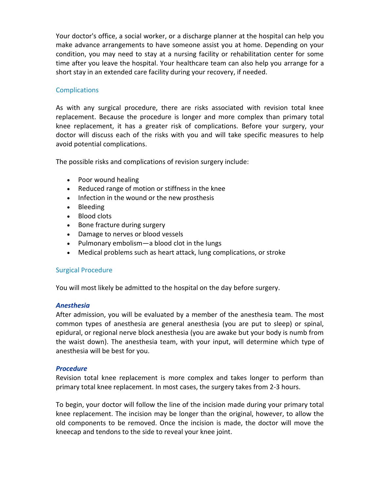Your doctor's office, a social worker, or a discharge planner at the hospital can help you make advance arrangements to have someone assist you at home. Depending on your condition, you may need to stay at a nursing facility or rehabilitation center for some time after you leave the hospital. Your healthcare team can also help you arrange for a short stay in an extended care facility during your recovery, if needed.

# **Complications**

As with any surgical procedure, there are risks associated with revision total knee replacement. Because the procedure is longer and more complex than primary total knee replacement, it has a greater risk of complications. Before your surgery, your doctor will discuss each of the risks with you and will take specific measures to help avoid potential complications.

The possible risks and complications of revision surgery include:

- Poor wound healing
- Reduced range of motion or stiffness in the knee
- Infection in the wound or the new prosthesis
- Bleeding
- Blood clots
- Bone fracture during surgery
- Damage to nerves or blood vessels
- Pulmonary embolism—a blood clot in the lungs
- Medical problems such as heart attack, lung complications, or stroke

# Surgical Procedure

You will most likely be admitted to the hospital on the day before surgery.

# *Anesthesia*

After admission, you will be evaluated by a member of the anesthesia team. The most common types of anesthesia are general anesthesia (you are put to sleep) or spinal, epidural, or regional nerve block anesthesia (you are awake but your body is numb from the waist down). The anesthesia team, with your input, will determine which type of anesthesia will be best for you.

### *Procedure*

Revision total knee replacement is more complex and takes longer to perform than primary total knee replacement. In most cases, the surgery takes from 2-3 hours.

To begin, your doctor will follow the line of the incision made during your primary total knee replacement. The incision may be longer than the original, however, to allow the old components to be removed. Once the incision is made, the doctor will move the kneecap and tendons to the side to reveal your knee joint.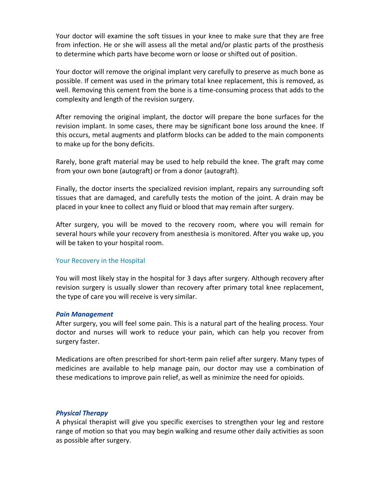Your doctor will examine the soft tissues in your knee to make sure that they are free from infection. He or she will assess all the metal and/or plastic parts of the prosthesis to determine which parts have become worn or loose or shifted out of position.

Your doctor will remove the original implant very carefully to preserve as much bone as possible. If cement was used in the primary total knee replacement, this is removed, as well. Removing this cement from the bone is a time-consuming process that adds to the complexity and length of the revision surgery.

After removing the original implant, the doctor will prepare the bone surfaces for the revision implant. In some cases, there may be significant bone loss around the knee. If this occurs, metal augments and platform blocks can be added to the main components to make up for the bony deficits.

Rarely, bone graft material may be used to help rebuild the knee. The graft may come from your own bone (autograft) or from a donor (autograft).

Finally, the doctor inserts the specialized revision implant, repairs any surrounding soft tissues that are damaged, and carefully tests the motion of the joint. A drain may be placed in your knee to collect any fluid or blood that may remain after surgery.

After surgery, you will be moved to the recovery room, where you will remain for several hours while your recovery from anesthesia is monitored. After you wake up, you will be taken to your hospital room.

### Your Recovery in the Hospital

You will most likely stay in the hospital for 3 days after surgery. Although recovery after revision surgery is usually slower than recovery after primary total knee replacement, the type of care you will receive is very similar.

### *Pain Management*

After surgery, you will feel some pain. This is a natural part of the healing process. Your doctor and nurses will work to reduce your pain, which can help you recover from surgery faster.

Medications are often prescribed for short-term pain relief after surgery. Many types of medicines are available to help manage pain, our doctor may use a combination of these medications to improve pain relief, as well as minimize the need for opioids.

### *Physical Therapy*

A physical therapist will give you specific exercises to strengthen your leg and restore range of motion so that you may begin walking and resume other daily activities as soon as possible after surgery.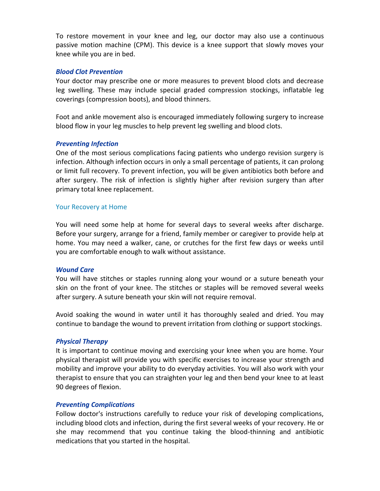To restore movement in your knee and leg, our doctor may also use a continuous passive motion machine (CPM). This device is a knee support that slowly moves your knee while you are in bed.

#### *Blood Clot Prevention*

Your doctor may prescribe one or more measures to prevent blood clots and decrease leg swelling. These may include special graded compression stockings, inflatable leg coverings (compression boots), and blood thinners.

Foot and ankle movement also is encouraged immediately following surgery to increase blood flow in your leg muscles to help prevent leg swelling and blood clots.

#### *Preventing Infection*

One of the most serious complications facing patients who undergo revision surgery is infection. Although infection occurs in only a small percentage of patients, it can prolong or limit full recovery. To prevent infection, you will be given antibiotics both before and after surgery. The risk of infection is slightly higher after revision surgery than after primary total knee replacement.

#### Your Recovery at Home

You will need some help at home for several days to several weeks after discharge. Before your surgery, arrange for a friend, family member or caregiver to provide help at home. You may need a walker, cane, or crutches for the first few days or weeks until you are comfortable enough to walk without assistance.

#### *Wound Care*

You will have stitches or staples running along your wound or a suture beneath your skin on the front of your knee. The stitches or staples will be removed several weeks after surgery. A suture beneath your skin will not require removal.

Avoid soaking the wound in water until it has thoroughly sealed and dried. You may continue to bandage the wound to prevent irritation from clothing or support stockings.

### *Physical Therapy*

It is important to continue moving and exercising your knee when you are home. Your physical therapist will provide you with specific exercises to increase your strength and mobility and improve your ability to do everyday activities. You will also work with your therapist to ensure that you can straighten your leg and then bend your knee to at least 90 degrees of flexion.

### *Preventing Complications*

Follow doctor's instructions carefully to reduce your risk of developing complications, including blood clots and infection, during the first several weeks of your recovery. He or she may recommend that you continue taking the blood-thinning and antibiotic medications that you started in the hospital.